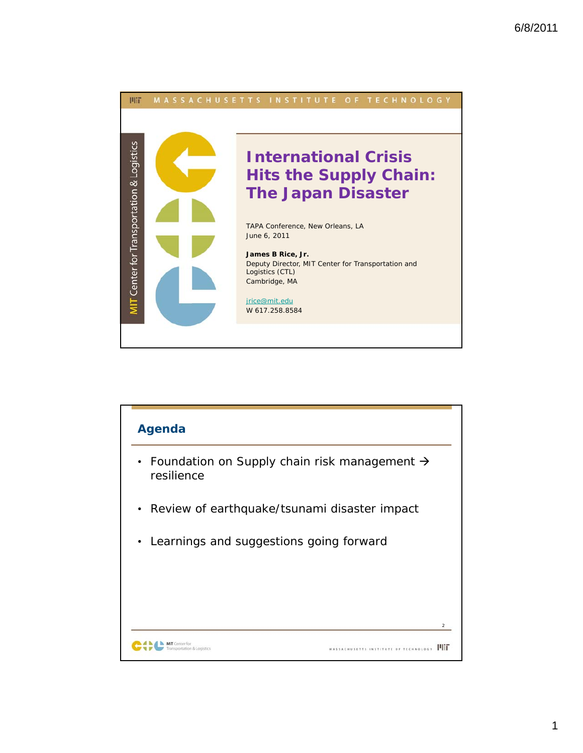

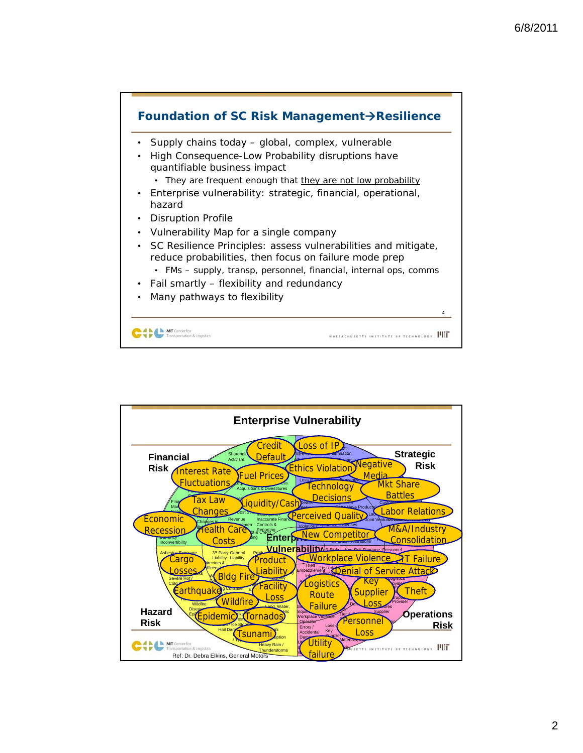

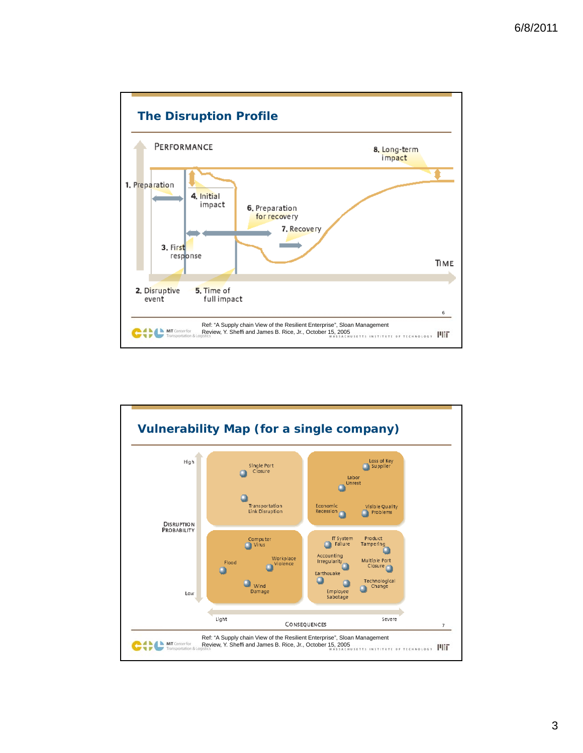

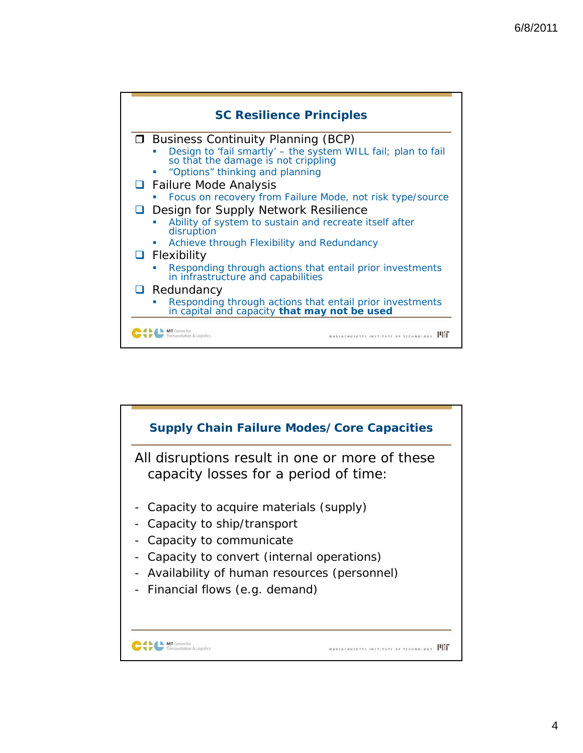

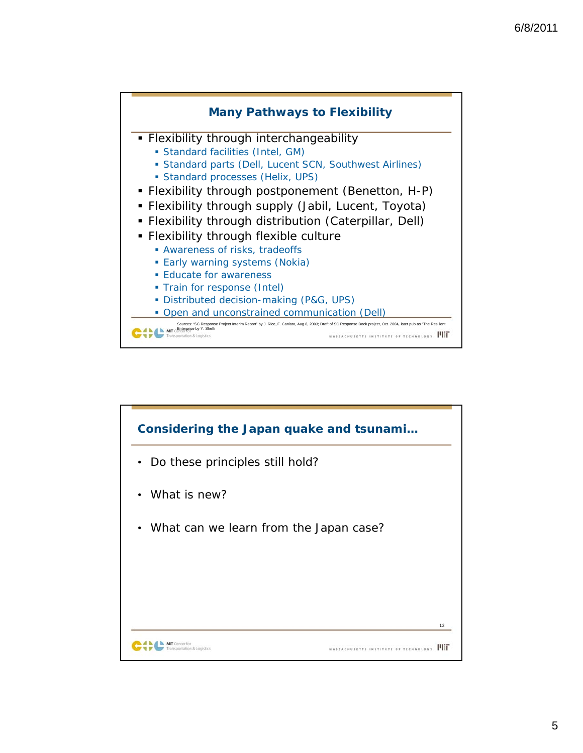

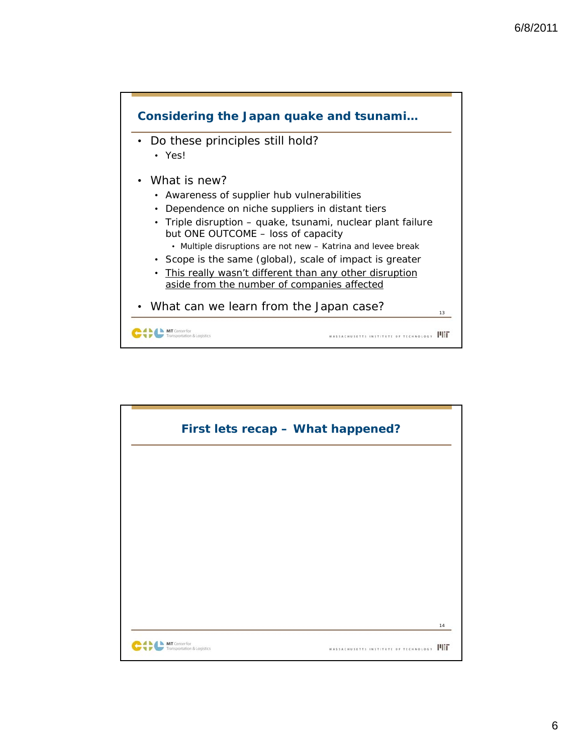

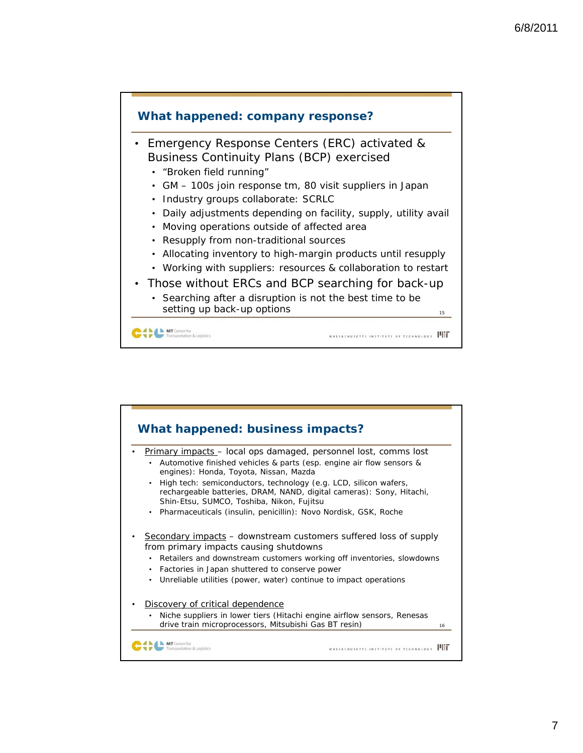

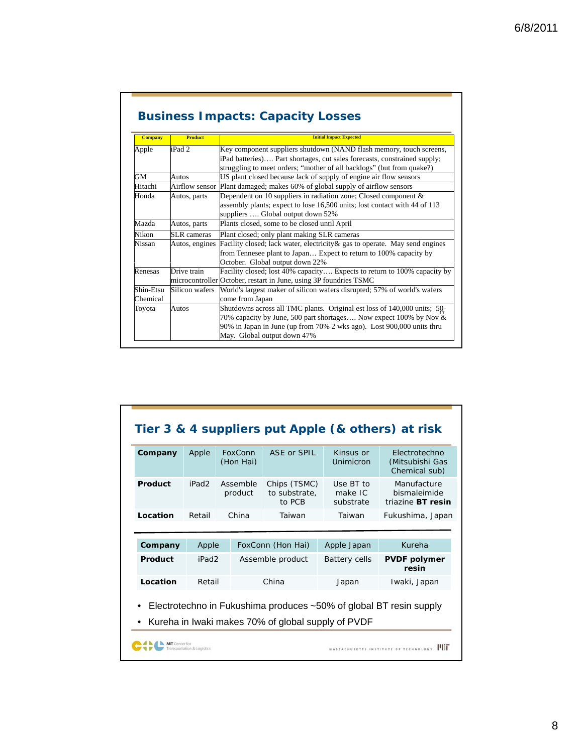| <b>Business Impacts: Capacity Losses</b> |  |  |
|------------------------------------------|--|--|
|                                          |  |  |

| <b>Company</b> | <b>Product</b> | <b>Initial Impact Expected</b>                                                                                                                                                                                                                           |
|----------------|----------------|----------------------------------------------------------------------------------------------------------------------------------------------------------------------------------------------------------------------------------------------------------|
| Apple          | iPad 2         | Key component suppliers shutdown (NAND flash memory, touch screens,                                                                                                                                                                                      |
|                |                | iPad batteries) Part shortages, cut sales forecasts, constrained supply;                                                                                                                                                                                 |
|                |                | struggling to meet orders; "mother of all backlogs" (but from quake?)                                                                                                                                                                                    |
| GМ             | Autos          | US plant closed because lack of supply of engine air flow sensors                                                                                                                                                                                        |
| Hitachi        | Airflow sensor | Plant damaged; makes 60% of global supply of airflow sensors                                                                                                                                                                                             |
| Honda          | Autos, parts   | Dependent on 10 suppliers in radiation zone; Closed component $\&$<br>assembly plants; expect to lose 16,500 units; lost contact with 44 of 113<br>suppliers  Global output down 52%                                                                     |
| Mazda          | Autos, parts   | Plants closed, some to be closed until April                                                                                                                                                                                                             |
| Nikon          | SLR cameras    | Plant closed; only plant making SLR cameras                                                                                                                                                                                                              |
| Nissan         | Autos, engines | Facility closed; lack water, electricity & gas to operate. May send engines<br>from Tennesee plant to Japan Expect to return to 100% capacity by<br>October. Global output down 22%                                                                      |
| Renesas        | Drive train    | Facility closed; lost 40% capacity Expects to return to 100% capacity by<br>microcontroller October, restart in June, using 3P foundries TSMC                                                                                                            |
| Shin-Etsu      | Silicon wafers | World's largest maker of silicon wafers disrupted; 57% of world's wafers                                                                                                                                                                                 |
| Chemical       |                | come from Japan                                                                                                                                                                                                                                          |
| Toyota         | Autos          | Shutdowns across all TMC plants. Original est loss of 140,000 units; 50-<br>70% capacity by June, 500 part shortages Now expect 100% by Nov $\&$<br>90% in Japan in June (up from 70% 2 wks ago). Lost 900,000 units thru<br>May. Global output down 47% |

| Company  | Apple             | FoxConn<br>(Hon Hai) | ASE or SPIL                                        | Kinsus or<br>Unimicron            | Electrotechno<br>(Mitsubishi Gas<br>Chemical sub)                        |
|----------|-------------------|----------------------|----------------------------------------------------|-----------------------------------|--------------------------------------------------------------------------|
| Product  | iPad <sub>2</sub> | Assemble<br>product  | Chips (TSMC)<br>to substrate,<br>to PCB            | Use BT to<br>make IC<br>substrate | Manufacture<br>bismaleimide<br>triazine BT resin                         |
| Location | Retail            | China                | Taiwan                                             | Taiwan                            | Fukushima, Japan                                                         |
|          |                   |                      |                                                    |                                   |                                                                          |
| Company  | Apple             |                      | FoxConn (Hon Hai)                                  | Apple Japan                       | Kureha                                                                   |
| Product  | iPad <sub>2</sub> |                      | Assemble product                                   | <b>Battery cells</b>              | <b>PVDF polymer</b><br>resin                                             |
| Location | Retail            |                      | China                                              | Japan                             | Iwaki, Japan                                                             |
| ٠        |                   |                      | Kureha in Iwaki makes 70% of global supply of PVDF |                                   | Electrotechno in Fukushima produces $\sim$ 50% of global BT resin supply |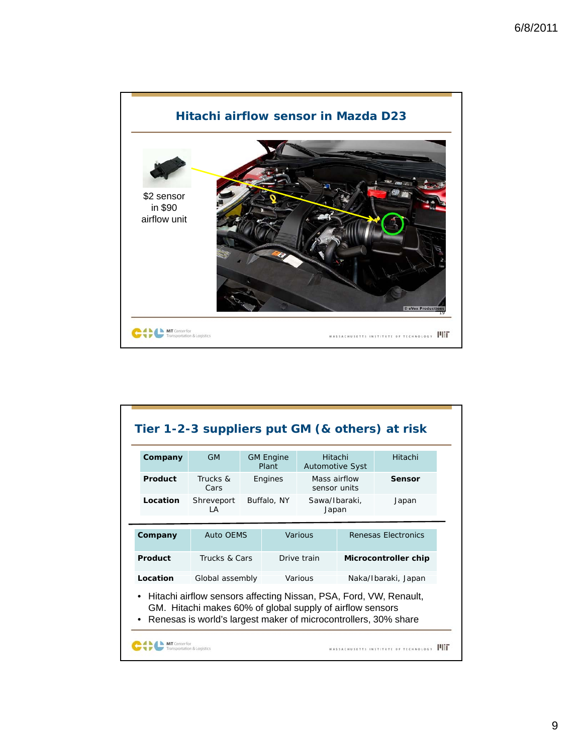

| Company  | <b>GM</b>                                                                                                                                                                                         |  | <b>GM Engine</b><br>Plant               | Hitachi<br><b>Automotive Syst</b> |                      | Hitachi             |
|----------|---------------------------------------------------------------------------------------------------------------------------------------------------------------------------------------------------|--|-----------------------------------------|-----------------------------------|----------------------|---------------------|
| Product  | Trucks &<br>Cars                                                                                                                                                                                  |  | Mass airflow<br>Engines<br>sensor units |                                   |                      | Sensor              |
| Location | Shreveport<br>I A                                                                                                                                                                                 |  | Buffalo, NY                             | Sawa/Ibaraki,<br>Japan            |                      | Japan               |
| Company  | <b>Auto OEMS</b>                                                                                                                                                                                  |  |                                         | Various                           |                      | Renesas Electronics |
| Product  | Trucks & Cars                                                                                                                                                                                     |  | Drive train                             |                                   | Microcontroller chip |                     |
| Location | Global assembly                                                                                                                                                                                   |  | Various                                 |                                   | Naka/Ibaraki, Japan  |                     |
|          | Hitachi airflow sensors affecting Nissan, PSA, Ford, VW, Renault,<br>GM. Hitachi makes 60% of global supply of airflow sensors<br>Renesas is world's largest maker of microcontrollers, 30% share |  |                                         |                                   |                      |                     |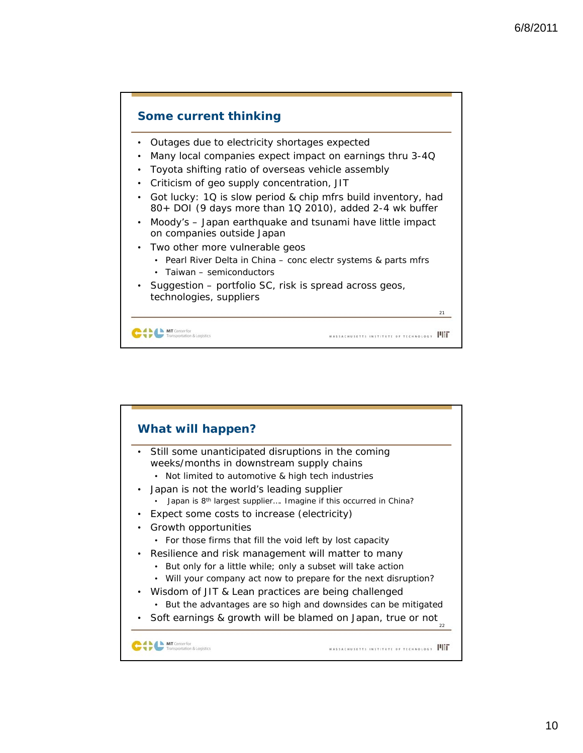

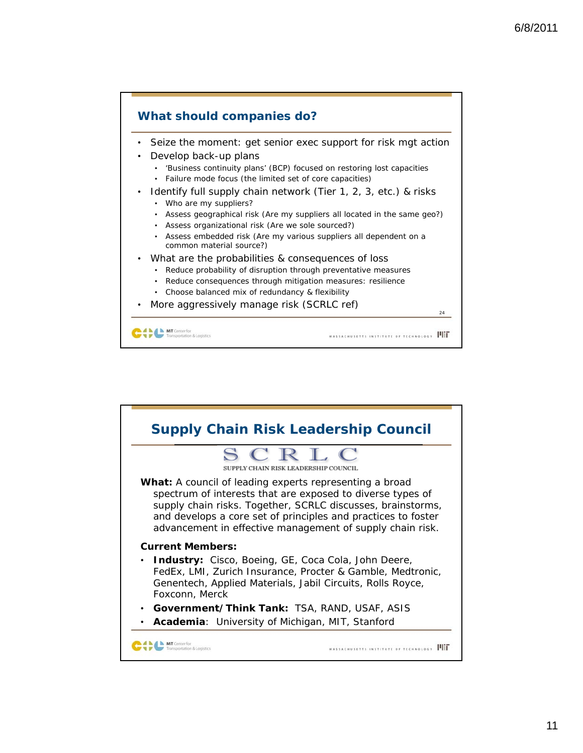

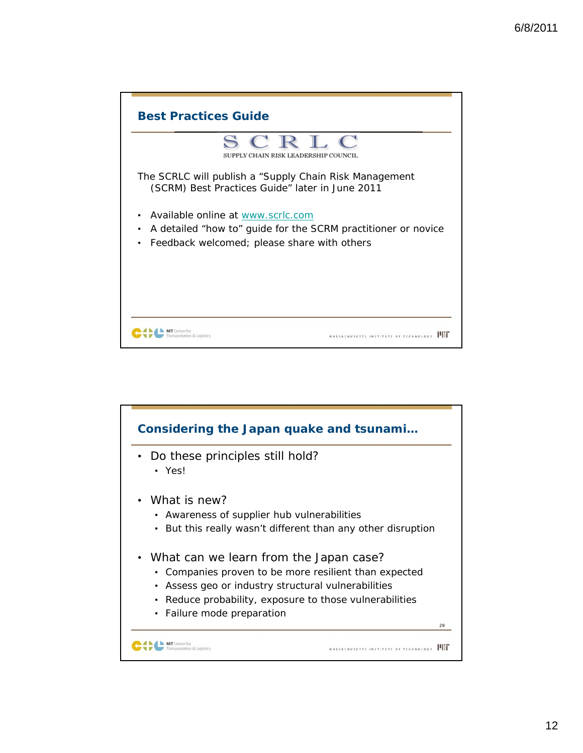